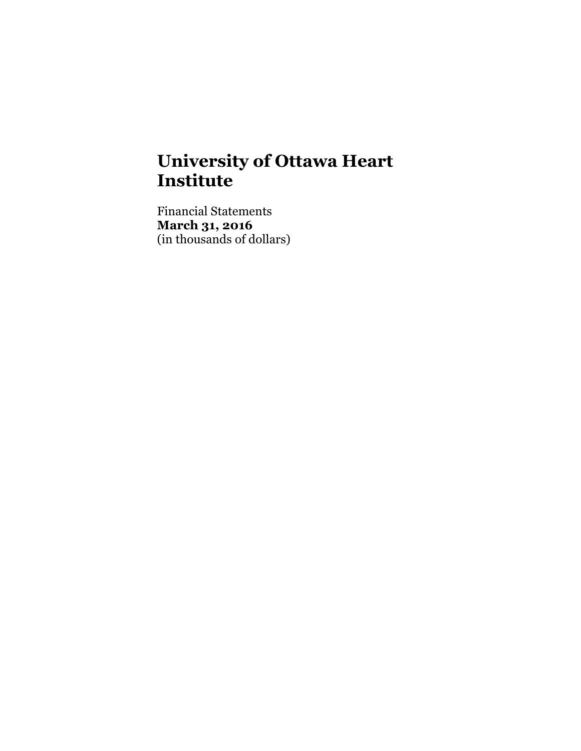# **University of Ottawa Heart Institute**

Financial Statements **March 31, 2016** (in thousands of dollars)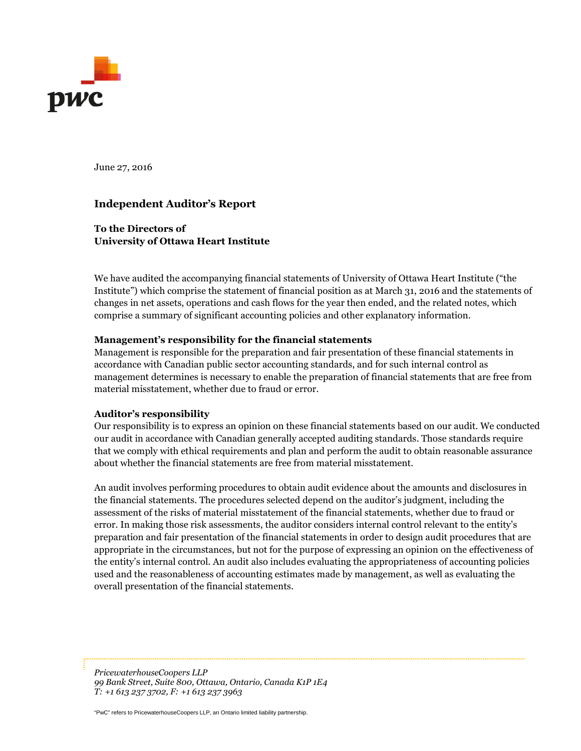

June 27, 2016

## **Independent Auditor's Report**

#### **To the Directors of University of Ottawa Heart Institute**

We have audited the accompanying financial statements of University of Ottawa Heart Institute ("the Institute") which comprise the statement of financial position as at March 31, 2016 and the statements of changes in net assets, operations and cash flows for the year then ended, and the related notes, which comprise a summary of significant accounting policies and other explanatory information.

#### **Management's responsibility for the financial statements**

Management is responsible for the preparation and fair presentation of these financial statements in accordance with Canadian public sector accounting standards, and for such internal control as management determines is necessary to enable the preparation of financial statements that are free from material misstatement, whether due to fraud or error.

#### **Auditor's responsibility**

Our responsibility is to express an opinion on these financial statements based on our audit. We conducted our audit in accordance with Canadian generally accepted auditing standards. Those standards require that we comply with ethical requirements and plan and perform the audit to obtain reasonable assurance about whether the financial statements are free from material misstatement.

An audit involves performing procedures to obtain audit evidence about the amounts and disclosures in the financial statements. The procedures selected depend on the auditor's judgment, including the assessment of the risks of material misstatement of the financial statements, whether due to fraud or error. In making those risk assessments, the auditor considers internal control relevant to the entity's preparation and fair presentation of the financial statements in order to design audit procedures that are appropriate in the circumstances, but not for the purpose of expressing an opinion on the effectiveness of the entity's internal control. An audit also includes evaluating the appropriateness of accounting policies used and the reasonableness of accounting estimates made by management, as well as evaluating the overall presentation of the financial statements.

*PricewaterhouseCoopers LLP 99 Bank Street, Suite 800, Ottawa, Ontario, Canada K1P 1E4 T: +1 613 237 3702, F: +1 613 237 3963*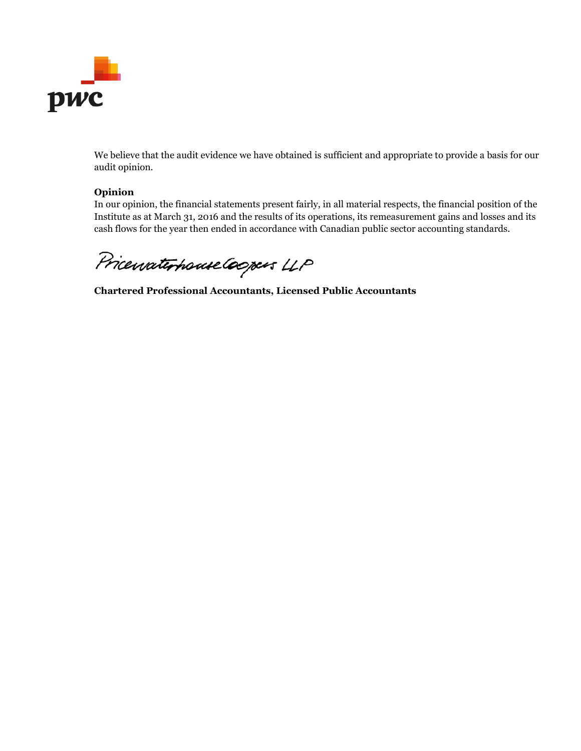

We believe that the audit evidence we have obtained is sufficient and appropriate to provide a basis for our audit opinion.

#### **Opinion**

In our opinion, the financial statements present fairly, in all material respects, the financial position of the Institute as at March 31, 2016 and the results of its operations, its remeasurement gains and losses and its cash flows for the year then ended in accordance with Canadian public sector accounting standards.

Pricewaterhouse Coopers LLP

**Chartered Professional Accountants, Licensed Public Accountants**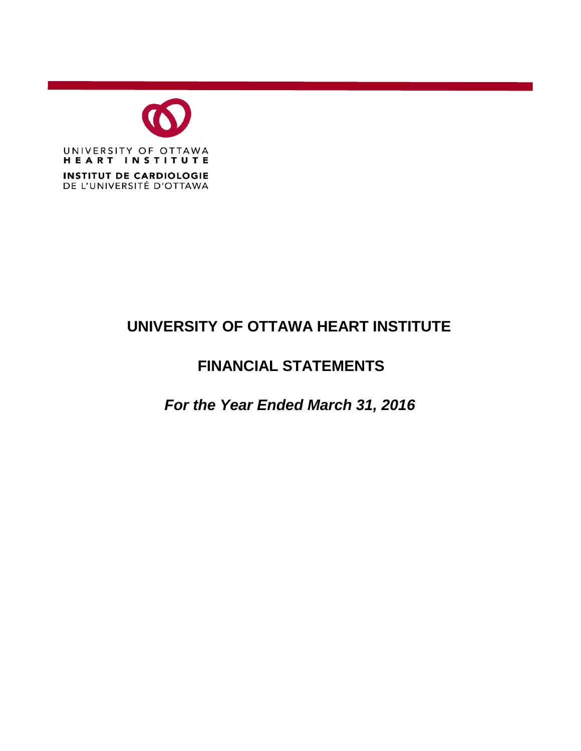

# **FINANCIAL STATEMENTS**

*For the Year Ended March 31, 2016*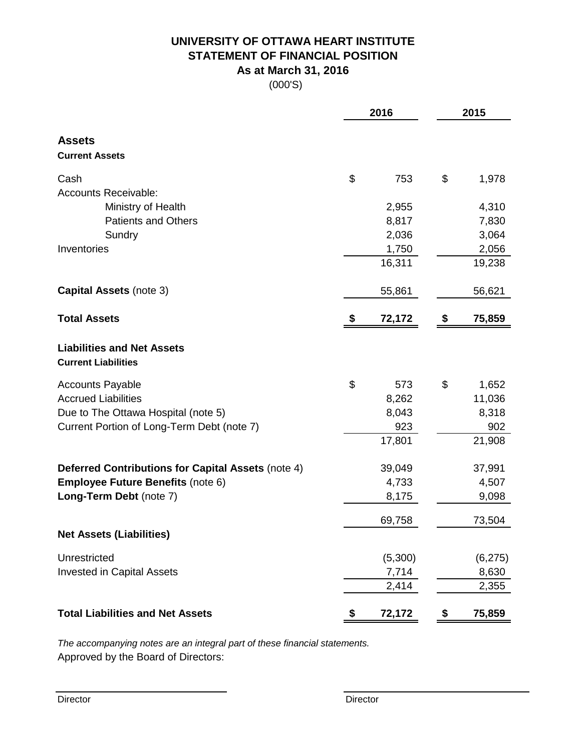# **UNIVERSITY OF OTTAWA HEART INSTITUTE STATEMENT OF FINANCIAL POSITION As at March 31, 2016**

(000'S)

|                                                                 | 2016 |         | 2015 |          |  |
|-----------------------------------------------------------------|------|---------|------|----------|--|
| <b>Assets</b><br><b>Current Assets</b>                          |      |         |      |          |  |
| Cash                                                            | \$   | 753     | \$   | 1,978    |  |
| <b>Accounts Receivable:</b>                                     |      |         |      |          |  |
| Ministry of Health                                              |      | 2,955   |      | 4,310    |  |
| <b>Patients and Others</b>                                      |      | 8,817   |      | 7,830    |  |
| Sundry                                                          |      | 2,036   |      | 3,064    |  |
| Inventories                                                     |      | 1,750   |      | 2,056    |  |
|                                                                 |      | 16,311  |      | 19,238   |  |
| <b>Capital Assets (note 3)</b>                                  |      | 55,861  |      | 56,621   |  |
| <b>Total Assets</b>                                             |      | 72,172  |      | 75,859   |  |
| <b>Liabilities and Net Assets</b><br><b>Current Liabilities</b> |      |         |      |          |  |
| <b>Accounts Payable</b>                                         | \$   | 573     | \$   | 1,652    |  |
| <b>Accrued Liabilities</b>                                      |      | 8,262   |      | 11,036   |  |
| Due to The Ottawa Hospital (note 5)                             |      | 8,043   |      | 8,318    |  |
| Current Portion of Long-Term Debt (note 7)                      |      | 923     |      | 902      |  |
|                                                                 |      | 17,801  |      | 21,908   |  |
| <b>Deferred Contributions for Capital Assets (note 4)</b>       |      | 39,049  |      | 37,991   |  |
| <b>Employee Future Benefits (note 6)</b>                        |      | 4,733   |      | 4,507    |  |
| Long-Term Debt (note 7)                                         |      | 8,175   |      | 9,098    |  |
|                                                                 |      | 69,758  |      | 73,504   |  |
| <b>Net Assets (Liabilities)</b>                                 |      |         |      |          |  |
| Unrestricted                                                    |      | (5,300) |      | (6, 275) |  |
| <b>Invested in Capital Assets</b>                               |      | 7,714   |      | 8,630    |  |
|                                                                 |      | 2,414   |      | 2,355    |  |
| <b>Total Liabilities and Net Assets</b>                         | S    | 72,172  | \$   | 75,859   |  |

*The accompanying notes are an integral part of these financial statements.* Approved by the Board of Directors: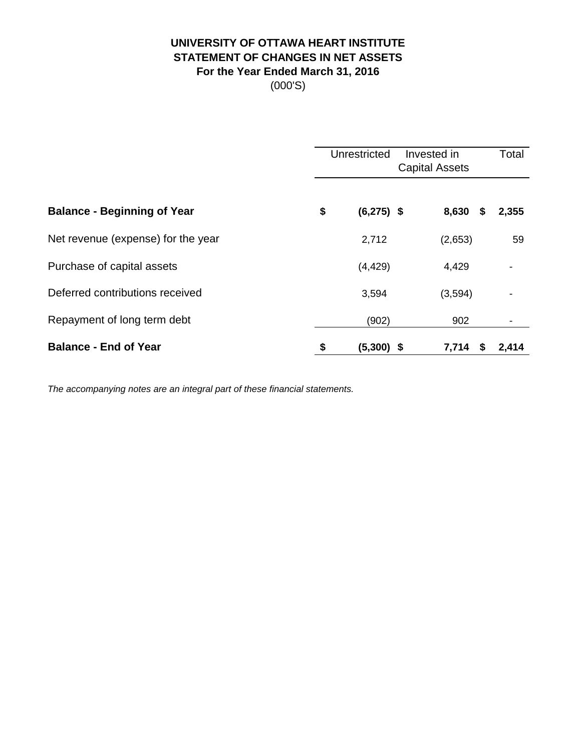# **UNIVERSITY OF OTTAWA HEART INSTITUTE STATEMENT OF CHANGES IN NET ASSETS For the Year Ended March 31, 2016**

(000'S)

|                                    | Unrestricted<br>Invested in<br><b>Capital Assets</b> |            |       |  |
|------------------------------------|------------------------------------------------------|------------|-------|--|
| <b>Balance - Beginning of Year</b> | \$<br>$(6,275)$ \$                                   | 8,630<br>S | 2,355 |  |
| Net revenue (expense) for the year | 2,712                                                | (2,653)    | 59    |  |
| Purchase of capital assets         | (4, 429)                                             | 4,429      |       |  |
| Deferred contributions received    | 3,594                                                | (3,594)    |       |  |
| Repayment of long term debt        | (902)                                                | 902        |       |  |
| <b>Balance - End of Year</b>       | \$<br>$(5,300)$ \$                                   | 7,714<br>5 | 2,414 |  |

*The accompanying notes are an integral part of these financial statements.*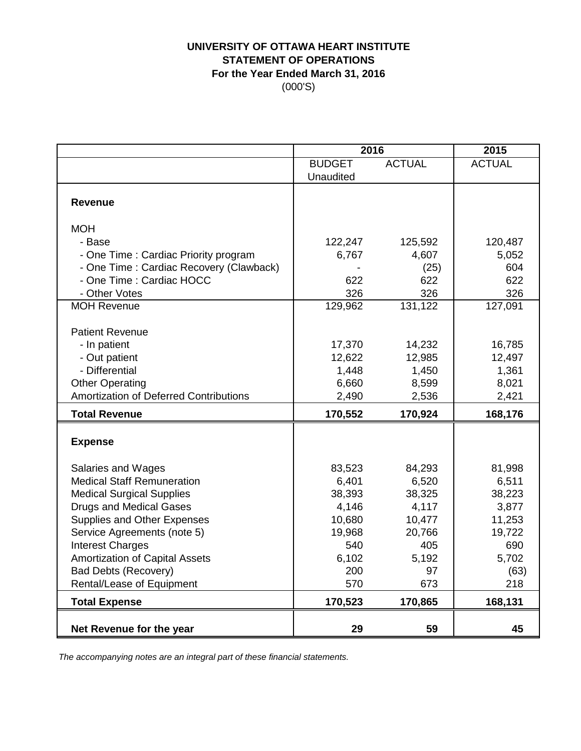# **UNIVERSITY OF OTTAWA HEART INSTITUTE STATEMENT OF OPERATIONS For the Year Ended March 31, 2016**

(000'S)

|                                                         | 2016            | 2015            |                 |
|---------------------------------------------------------|-----------------|-----------------|-----------------|
|                                                         | <b>BUDGET</b>   | <b>ACTUAL</b>   | <b>ACTUAL</b>   |
|                                                         | Unaudited       |                 |                 |
|                                                         |                 |                 |                 |
| <b>Revenue</b>                                          |                 |                 |                 |
| <b>MOH</b>                                              |                 |                 |                 |
| - Base                                                  | 122,247         | 125,592         | 120,487         |
| - One Time: Cardiac Priority program                    | 6,767           | 4,607           | 5,052           |
| - One Time: Cardiac Recovery (Clawback)                 |                 | (25)            | 604             |
| - One Time : Cardiac HOCC                               | 622             | 622             | 622             |
| - Other Votes                                           | 326             | 326             | 326             |
| <b>MOH Revenue</b>                                      | 129,962         | 131,122         | 127,091         |
|                                                         |                 |                 |                 |
| <b>Patient Revenue</b>                                  |                 |                 |                 |
| - In patient                                            | 17,370          | 14,232          | 16,785          |
| - Out patient                                           | 12,622          | 12,985          | 12,497          |
| - Differential                                          | 1,448           | 1,450           | 1,361           |
| <b>Other Operating</b>                                  | 6,660           | 8,599           | 8,021           |
| Amortization of Deferred Contributions                  | 2,490           | 2,536           | 2,421           |
| <b>Total Revenue</b>                                    | 170,552         | 170,924         | 168,176         |
|                                                         |                 |                 |                 |
| <b>Expense</b>                                          |                 |                 |                 |
|                                                         |                 |                 |                 |
| Salaries and Wages<br><b>Medical Staff Remuneration</b> | 83,523          | 84,293          | 81,998          |
| <b>Medical Surgical Supplies</b>                        | 6,401<br>38,393 | 6,520<br>38,325 | 6,511<br>38,223 |
| <b>Drugs and Medical Gases</b>                          | 4,146           | 4,117           | 3,877           |
| Supplies and Other Expenses                             | 10,680          | 10,477          | 11,253          |
| Service Agreements (note 5)                             | 19,968          | 20,766          | 19,722          |
| <b>Interest Charges</b>                                 | 540             | 405             | 690             |
| <b>Amortization of Capital Assets</b>                   | 6,102           | 5,192           | 5,702           |
| <b>Bad Debts (Recovery)</b>                             | 200             | 97              | (63)            |
| Rental/Lease of Equipment                               | 570             | 673             | 218             |
| <b>Total Expense</b>                                    | 170,523         | 170,865         | 168,131         |
|                                                         |                 |                 |                 |
| Net Revenue for the year                                | 29              | 59              | 45              |

*The accompanying notes are an integral part of these financial statements.*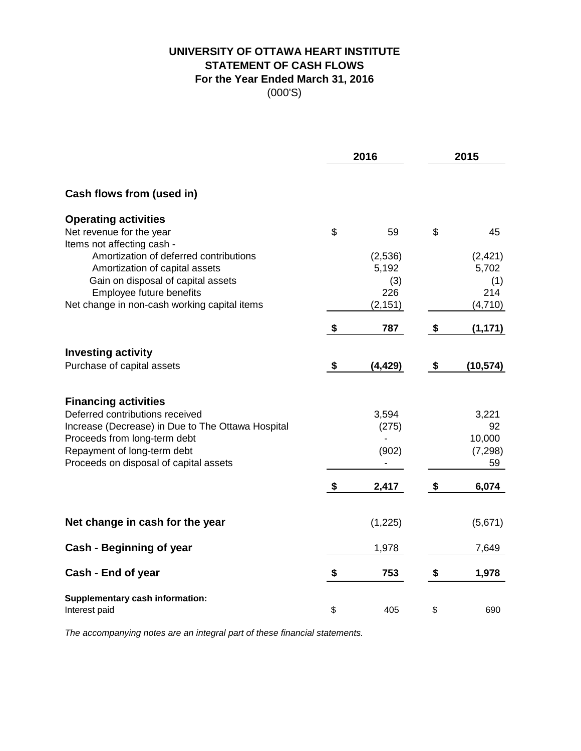# **UNIVERSITY OF OTTAWA HEART INSTITUTE STATEMENT OF CASH FLOWS For the Year Ended March 31, 2016** (000'S)

|                                                                       | 2016           | 2015 |                |  |
|-----------------------------------------------------------------------|----------------|------|----------------|--|
| Cash flows from (used in)                                             |                |      |                |  |
| <b>Operating activities</b>                                           |                |      |                |  |
| Net revenue for the year                                              | \$<br>59       | \$   | 45             |  |
| Items not affecting cash -<br>Amortization of deferred contributions  | (2,536)        |      | (2, 421)       |  |
| Amortization of capital assets                                        | 5,192          |      | 5,702          |  |
| Gain on disposal of capital assets                                    | (3)            |      | (1)            |  |
| Employee future benefits                                              | 226            |      | 214            |  |
| Net change in non-cash working capital items                          | (2, 151)       |      | (4,710)        |  |
|                                                                       | \$<br>787      | \$   | (1, 171)       |  |
| <b>Investing activity</b>                                             |                |      |                |  |
| Purchase of capital assets                                            | \$<br>(4, 429) | \$   | (10, 574)      |  |
| <b>Financing activities</b>                                           |                |      |                |  |
| Deferred contributions received                                       | 3,594          |      | 3,221          |  |
| Increase (Decrease) in Due to The Ottawa Hospital                     | (275)          |      | 92             |  |
| Proceeds from long-term debt                                          |                |      | 10,000         |  |
| Repayment of long-term debt<br>Proceeds on disposal of capital assets | (902)          |      | (7, 298)<br>59 |  |
|                                                                       | \$<br>2,417    | \$   | 6,074          |  |
| Net change in cash for the year                                       | (1,225)        |      | (5,671)        |  |
| Cash - Beginning of year                                              | 1,978          |      | 7,649          |  |
| Cash - End of year                                                    | \$<br>753      | \$   | 1,978          |  |
| <b>Supplementary cash information:</b><br>Interest paid               | \$<br>405      | \$   | 690            |  |

*The accompanying notes are an integral part of these financial statements.*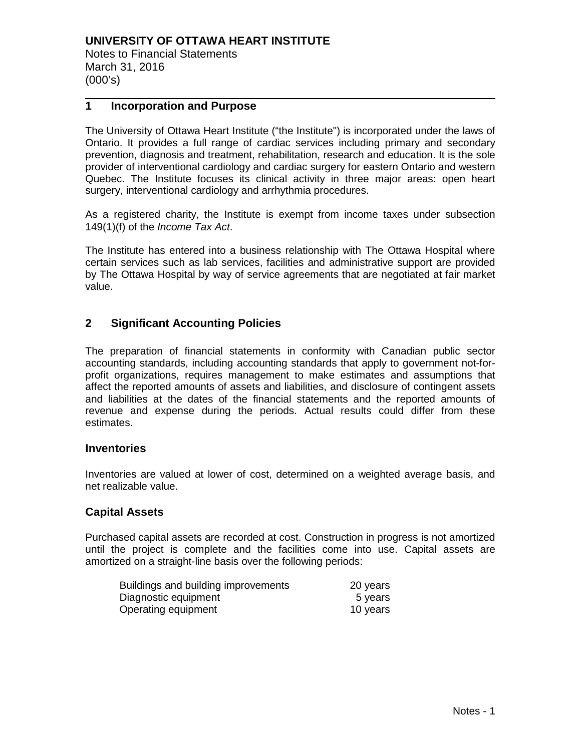## **1 Incorporation and Purpose**

The University of Ottawa Heart Institute ("the Institute") is incorporated under the laws of Ontario. It provides a full range of cardiac services including primary and secondary prevention, diagnosis and treatment, rehabilitation, research and education. It is the sole provider of interventional cardiology and cardiac surgery for eastern Ontario and western Quebec. The Institute focuses its clinical activity in three major areas: open heart surgery, interventional cardiology and arrhythmia procedures.

As a registered charity, the Institute is exempt from income taxes under subsection 149(1)(f) of the *Income Tax Act*.

The Institute has entered into a business relationship with The Ottawa Hospital where certain services such as lab services, facilities and administrative support are provided by The Ottawa Hospital by way of service agreements that are negotiated at fair market value.

## **2 Significant Accounting Policies**

The preparation of financial statements in conformity with Canadian public sector accounting standards, including accounting standards that apply to government not-forprofit organizations, requires management to make estimates and assumptions that affect the reported amounts of assets and liabilities, and disclosure of contingent assets and liabilities at the dates of the financial statements and the reported amounts of revenue and expense during the periods. Actual results could differ from these estimates.

#### **Inventories**

Inventories are valued at lower of cost, determined on a weighted average basis, and net realizable value.

## **Capital Assets**

Purchased capital assets are recorded at cost. Construction in progress is not amortized until the project is complete and the facilities come into use. Capital assets are amortized on a straight-line basis over the following periods:

| Buildings and building improvements | 20 years |
|-------------------------------------|----------|
| Diagnostic equipment                | 5 years  |
| Operating equipment                 | 10 years |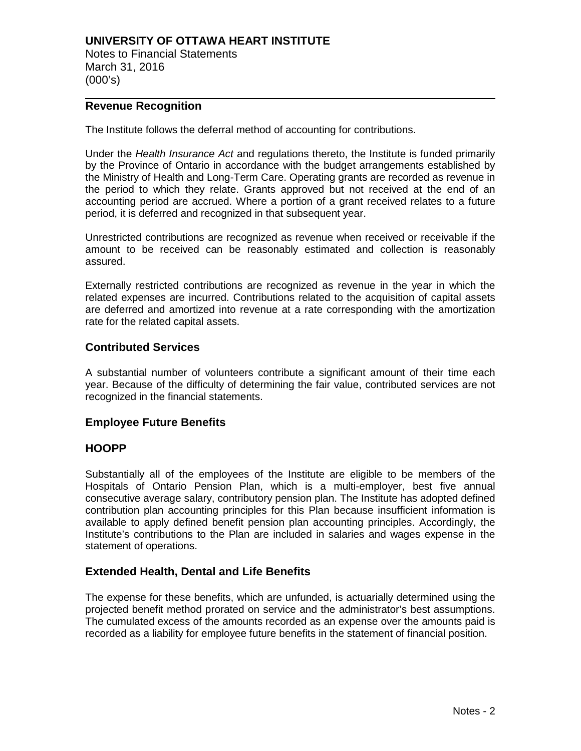#### **Revenue Recognition**

The Institute follows the deferral method of accounting for contributions.

Under the *Health Insurance Act* and regulations thereto, the Institute is funded primarily by the Province of Ontario in accordance with the budget arrangements established by the Ministry of Health and Long-Term Care. Operating grants are recorded as revenue in the period to which they relate. Grants approved but not received at the end of an accounting period are accrued. Where a portion of a grant received relates to a future period, it is deferred and recognized in that subsequent year.

Unrestricted contributions are recognized as revenue when received or receivable if the amount to be received can be reasonably estimated and collection is reasonably assured.

Externally restricted contributions are recognized as revenue in the year in which the related expenses are incurred. Contributions related to the acquisition of capital assets are deferred and amortized into revenue at a rate corresponding with the amortization rate for the related capital assets.

#### **Contributed Services**

A substantial number of volunteers contribute a significant amount of their time each year. Because of the difficulty of determining the fair value, contributed services are not recognized in the financial statements.

## **Employee Future Benefits**

## **HOOPP**

Substantially all of the employees of the Institute are eligible to be members of the Hospitals of Ontario Pension Plan, which is a multi-employer, best five annual consecutive average salary, contributory pension plan. The Institute has adopted defined contribution plan accounting principles for this Plan because insufficient information is available to apply defined benefit pension plan accounting principles. Accordingly, the Institute's contributions to the Plan are included in salaries and wages expense in the statement of operations.

## **Extended Health, Dental and Life Benefits**

The expense for these benefits, which are unfunded, is actuarially determined using the projected benefit method prorated on service and the administrator's best assumptions. The cumulated excess of the amounts recorded as an expense over the amounts paid is recorded as a liability for employee future benefits in the statement of financial position.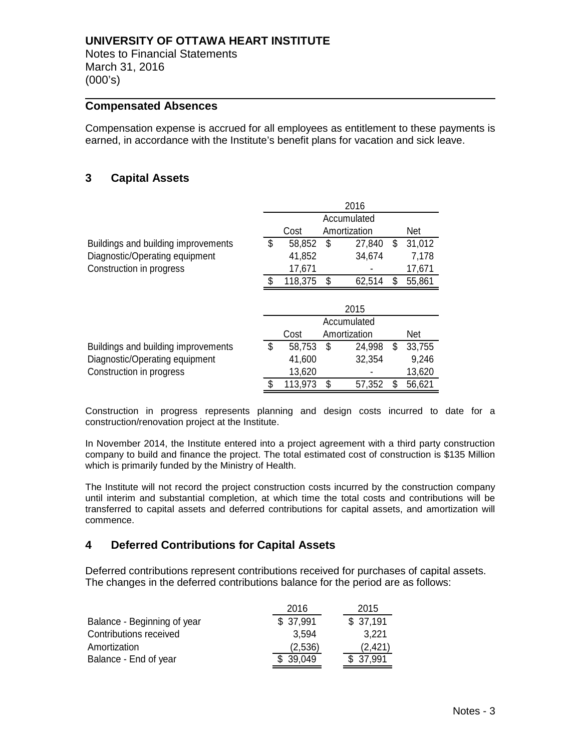Notes to Financial Statements March 31, 2016 (000's)

## **Compensated Absences**

Compensation expense is accrued for all employees as entitlement to these payments is earned, in accordance with the Institute's benefit plans for vacation and sick leave.

# **3 Capital Assets**

|                                     | 2016 |         |    |              |   |        |
|-------------------------------------|------|---------|----|--------------|---|--------|
|                                     |      |         |    | Accumulated  |   |        |
|                                     |      | Cost    |    | Amortization |   | Net    |
| Buildings and building improvements | \$   | 58,852  | \$ | 27,840       | S | 31,012 |
| Diagnostic/Operating equipment      |      | 41,852  |    | 34,674       |   | 7,178  |
| Construction in progress            |      | 17,671  |    |              |   | 17,671 |
|                                     |      | 118,375 | \$ | 62,514       | S | 55,861 |
|                                     |      |         |    |              |   |        |
|                                     |      |         |    | 2015         |   |        |
|                                     |      |         |    | Accumulated  |   |        |
|                                     |      | Cost    |    | Amortization |   | Net    |
| Buildings and building improvements | \$   | 58,753  | \$ | 24,998       | S | 33,755 |
| Diagnostic/Operating equipment      |      | 41,600  |    | 32,354       |   | 9,246  |
| Construction in progress            |      | 13,620  |    |              |   | 13,620 |
|                                     |      | 113,973 | \$ | 57,352       |   | 56,621 |

Construction in progress represents planning and design costs incurred to date for a construction/renovation project at the Institute.

In November 2014, the Institute entered into a project agreement with a third party construction company to build and finance the project. The total estimated cost of construction is \$135 Million which is primarily funded by the Ministry of Health.

The Institute will not record the project construction costs incurred by the construction company until interim and substantial completion, at which time the total costs and contributions will be transferred to capital assets and deferred contributions for capital assets, and amortization will commence.

## **4 Deferred Contributions for Capital Assets**

Deferred contributions represent contributions received for purchases of capital assets. The changes in the deferred contributions balance for the period are as follows:

|                             | 2016     | 2015     |
|-----------------------------|----------|----------|
| Balance - Beginning of year | \$37,991 | \$37,191 |
| Contributions received      | 3.594    | 3,221    |
| Amortization                | (2,536)  | (2, 421) |
| Balance - End of year       | \$39,049 | \$37,991 |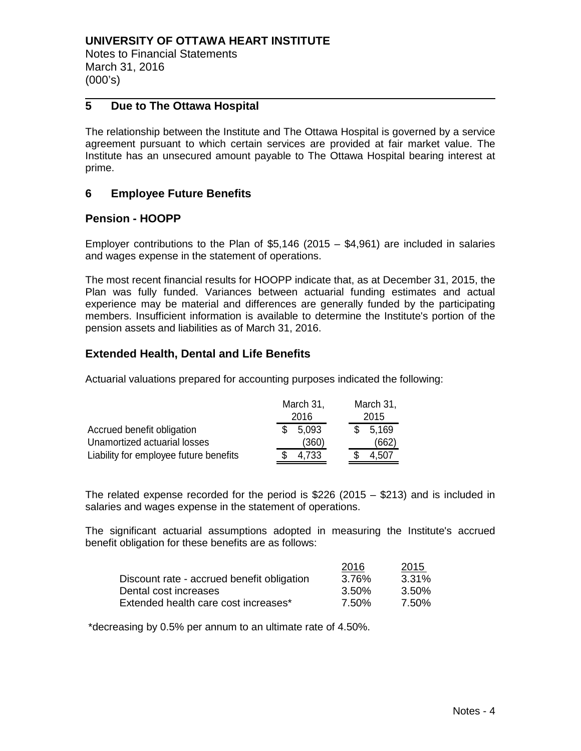## **5 Due to The Ottawa Hospital**

The relationship between the Institute and The Ottawa Hospital is governed by a service agreement pursuant to which certain services are provided at fair market value. The Institute has an unsecured amount payable to The Ottawa Hospital bearing interest at prime.

## **6 Employee Future Benefits**

## **Pension - HOOPP**

Employer contributions to the Plan of  $$5,146$  (2015 – \$4,961) are included in salaries and wages expense in the statement of operations.

The most recent financial results for HOOPP indicate that, as at December 31, 2015, the Plan was fully funded. Variances between actuarial funding estimates and actual experience may be material and differences are generally funded by the participating members. Insufficient information is available to determine the Institute's portion of the pension assets and liabilities as of March 31, 2016.

## **Extended Health, Dental and Life Benefits**

Actuarial valuations prepared for accounting purposes indicated the following:

|                                        | March 31, | March 31, |
|----------------------------------------|-----------|-----------|
|                                        | 2016      | 2015      |
| Accrued benefit obligation             | 5.093     | 5,169     |
| Unamortized actuarial losses           | (360)     | (662)     |
| Liability for employee future benefits | 4,733     | 4.507     |

The related expense recorded for the period is \$226 (2015 – \$213) and is included in salaries and wages expense in the statement of operations.

The significant actuarial assumptions adopted in measuring the Institute's accrued benefit obligation for these benefits are as follows:

|                                            | 2016  | 2015  |
|--------------------------------------------|-------|-------|
| Discount rate - accrued benefit obligation | 3.76% | 3.31% |
| Dental cost increases                      | 3.50% | 3.50% |
| Extended health care cost increases*       | 7.50% | 7.50% |

\*decreasing by 0.5% per annum to an ultimate rate of 4.50%.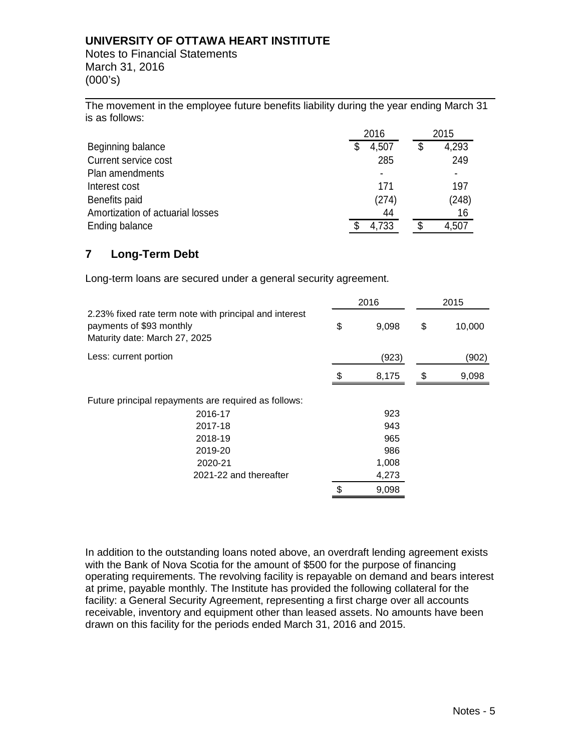Notes to Financial Statements March 31, 2016 (000's)

The movement in the employee future benefits liability during the year ending March 31 is as follows:

|                                  | 2016 |       | 2015        |  |
|----------------------------------|------|-------|-------------|--|
| Beginning balance                |      | 4,507 | \$<br>4,293 |  |
| Current service cost             |      | 285   | 249         |  |
| Plan amendments                  |      |       | ۰           |  |
| Interest cost                    |      | 171   | 197         |  |
| Benefits paid                    |      | (274) | (248)       |  |
| Amortization of actuarial losses |      | 44    | 16          |  |
| Ending balance                   |      | 4,733 | 4,507       |  |

# **7 Long-Term Debt**

Long-term loans are secured under a general security agreement.

|                                                                                                                     |    | 2016  | 2015         |
|---------------------------------------------------------------------------------------------------------------------|----|-------|--------------|
| 2.23% fixed rate term note with principal and interest<br>payments of \$93 monthly<br>Maturity date: March 27, 2025 | \$ | 9,098 | \$<br>10,000 |
| Less: current portion                                                                                               |    | (923) | (902)        |
|                                                                                                                     | ß. | 8,175 | \$<br>9,098  |
| Future principal repayments are required as follows:                                                                |    |       |              |
| 2016-17                                                                                                             |    | 923   |              |
| 2017-18                                                                                                             |    | 943   |              |
| 2018-19                                                                                                             |    | 965   |              |
| 2019-20                                                                                                             |    | 986   |              |
| 2020-21                                                                                                             |    | 1,008 |              |
| 2021-22 and thereafter                                                                                              |    | 4,273 |              |
|                                                                                                                     | \$ | 9,098 |              |

In addition to the outstanding loans noted above, an overdraft lending agreement exists with the Bank of Nova Scotia for the amount of \$500 for the purpose of financing operating requirements. The revolving facility is repayable on demand and bears interest at prime, payable monthly. The Institute has provided the following collateral for the facility: a General Security Agreement, representing a first charge over all accounts receivable, inventory and equipment other than leased assets. No amounts have been drawn on this facility for the periods ended March 31, 2016 and 2015.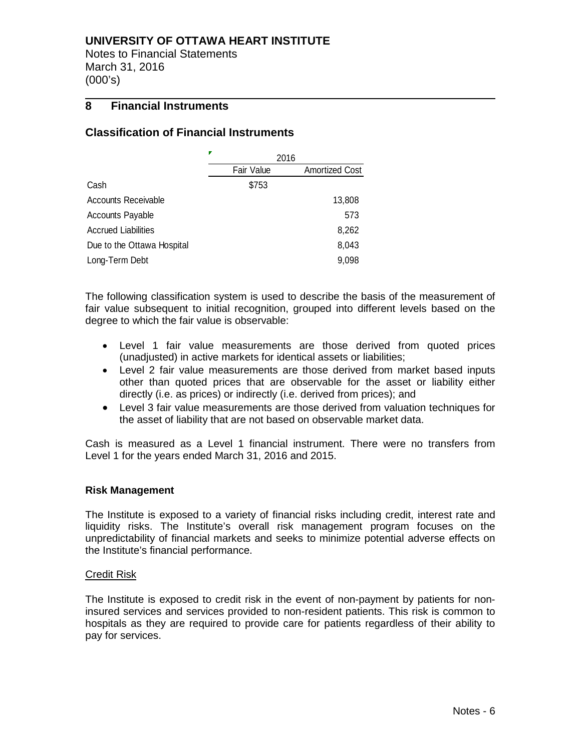Notes to Financial Statements March 31, 2016 (000's)

# **8 Financial Instruments**

# **Classification of Financial Instruments**

|                            | Г |            | 2016 |                       |
|----------------------------|---|------------|------|-----------------------|
|                            |   | Fair Value |      | <b>Amortized Cost</b> |
| Cash                       |   | \$753      |      |                       |
| <b>Accounts Receivable</b> |   |            |      | 13,808                |
| <b>Accounts Payable</b>    |   |            |      | 573                   |
| <b>Accrued Liabilities</b> |   |            |      | 8,262                 |
| Due to the Ottawa Hospital |   |            |      | 8,043                 |
| Long-Term Debt             |   |            |      | 9,098                 |

The following classification system is used to describe the basis of the measurement of fair value subsequent to initial recognition, grouped into different levels based on the degree to which the fair value is observable:

- Level 1 fair value measurements are those derived from quoted prices (unadjusted) in active markets for identical assets or liabilities;
- Level 2 fair value measurements are those derived from market based inputs other than quoted prices that are observable for the asset or liability either directly (i.e. as prices) or indirectly (i.e. derived from prices); and
- Level 3 fair value measurements are those derived from valuation techniques for the asset of liability that are not based on observable market data.

Cash is measured as a Level 1 financial instrument. There were no transfers from Level 1 for the years ended March 31, 2016 and 2015.

#### **Risk Management**

The Institute is exposed to a variety of financial risks including credit, interest rate and liquidity risks. The Institute's overall risk management program focuses on the unpredictability of financial markets and seeks to minimize potential adverse effects on the Institute's financial performance.

#### Credit Risk

The Institute is exposed to credit risk in the event of non-payment by patients for noninsured services and services provided to non-resident patients. This risk is common to hospitals as they are required to provide care for patients regardless of their ability to pay for services.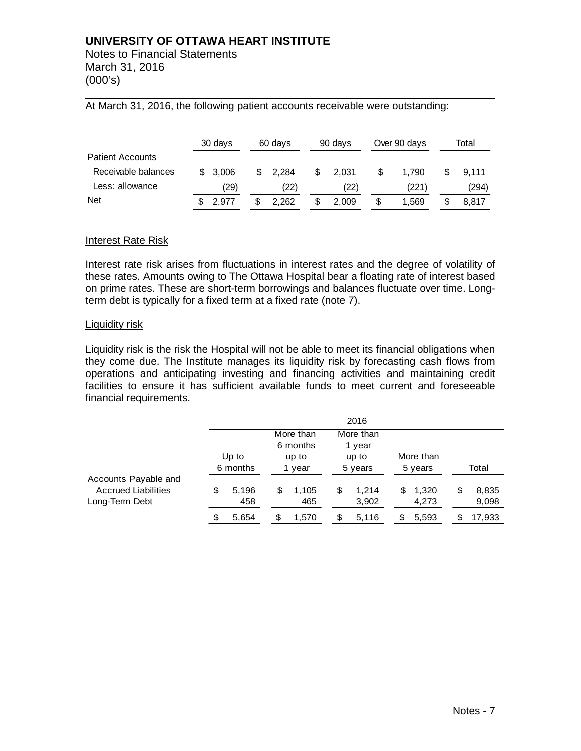Notes to Financial Statements March 31, 2016 (000's)

#### At March 31, 2016, the following patient accounts receivable were outstanding:

|                         | 30 days |   | 60 days |  | 90 days |       | Over 90 days |       | Total |       |
|-------------------------|---------|---|---------|--|---------|-------|--------------|-------|-------|-------|
| <b>Patient Accounts</b> |         |   |         |  |         |       |              |       |       |       |
| Receivable balances     | \$3.006 | S | 2.284   |  |         | 2.031 | \$           | 1.790 |       | 9.111 |
| Less: allowance         | (29)    |   | (22)    |  |         | (22)  |              | (221) |       | (294) |
| Net                     | 2.977   |   | 2,262   |  |         | 2.009 | \$           | 1.569 |       | 8.817 |

#### Interest Rate Risk

Interest rate risk arises from fluctuations in interest rates and the degree of volatility of these rates. Amounts owing to The Ottawa Hospital bear a floating rate of interest based on prime rates. These are short-term borrowings and balances fluctuate over time. Longterm debt is typically for a fixed term at a fixed rate (note 7).

#### Liquidity risk

Liquidity risk is the risk the Hospital will not be able to meet its financial obligations when they come due. The Institute manages its liquidity risk by forecasting cash flows from operations and anticipating investing and financing activities and maintaining credit facilities to ensure it has sufficient available funds to meet current and foreseeable financial requirements.

|                            |                   |       |                             |           |                            | 2016      |         |           |             |
|----------------------------|-------------------|-------|-----------------------------|-----------|----------------------------|-----------|---------|-----------|-------------|
|                            |                   |       |                             | More than |                            | More than |         |           |             |
|                            | Up to<br>6 months |       | 6 months<br>up to<br>1 year |           | 1 year<br>up to<br>5 years |           |         |           |             |
|                            |                   |       |                             |           |                            |           |         | More than |             |
|                            |                   |       |                             |           |                            |           | 5 years |           | Total       |
| Accounts Payable and       |                   |       |                             |           |                            |           |         |           |             |
| <b>Accrued Liabilities</b> | \$                | 5,196 | \$                          | 1,105     | \$                         | 1.214     | \$      | 1,320     | \$<br>8,835 |
| Long-Term Debt             |                   | 458   |                             | 465       |                            | 3,902     |         | 4,273     | 9,098       |
|                            | \$                | 5,654 | \$                          | 1.570     |                            | 5,116     | S       | 5,593     | 17,933      |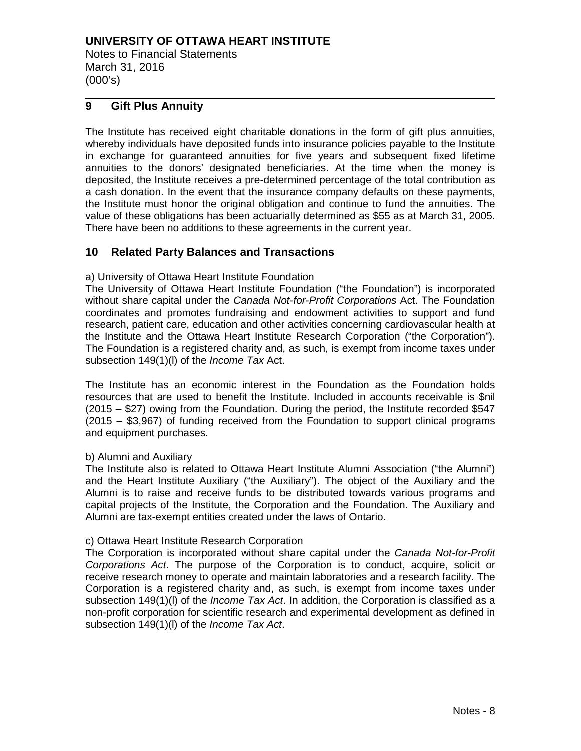#### **UNIVERSITY OF OTTAWA HEART INSTITUTE** Notes to Financial Statements

March 31, 2016 (000's)

# **9 Gift Plus Annuity**

The Institute has received eight charitable donations in the form of gift plus annuities, whereby individuals have deposited funds into insurance policies payable to the Institute in exchange for guaranteed annuities for five years and subsequent fixed lifetime annuities to the donors' designated beneficiaries. At the time when the money is deposited, the Institute receives a pre-determined percentage of the total contribution as a cash donation. In the event that the insurance company defaults on these payments, the Institute must honor the original obligation and continue to fund the annuities. The value of these obligations has been actuarially determined as \$55 as at March 31, 2005. There have been no additions to these agreements in the current year.

## **10 Related Party Balances and Transactions**

#### a) University of Ottawa Heart Institute Foundation

The University of Ottawa Heart Institute Foundation ("the Foundation") is incorporated without share capital under the *Canada Not-for-Profit Corporations* Act. The Foundation coordinates and promotes fundraising and endowment activities to support and fund research, patient care, education and other activities concerning cardiovascular health at the Institute and the Ottawa Heart Institute Research Corporation ("the Corporation"). The Foundation is a registered charity and, as such, is exempt from income taxes under subsection 149(1)(l) of the *Income Tax* Act.

The Institute has an economic interest in the Foundation as the Foundation holds resources that are used to benefit the Institute. Included in accounts receivable is \$nil (2015 – \$27) owing from the Foundation. During the period, the Institute recorded \$547 (2015 – \$3,967) of funding received from the Foundation to support clinical programs and equipment purchases.

#### b) Alumni and Auxiliary

The Institute also is related to Ottawa Heart Institute Alumni Association ("the Alumni") and the Heart Institute Auxiliary ("the Auxiliary"). The object of the Auxiliary and the Alumni is to raise and receive funds to be distributed towards various programs and capital projects of the Institute, the Corporation and the Foundation. The Auxiliary and Alumni are tax-exempt entities created under the laws of Ontario.

#### c) Ottawa Heart Institute Research Corporation

The Corporation is incorporated without share capital under the *Canada Not-for-Profit Corporations Act*. The purpose of the Corporation is to conduct, acquire, solicit or receive research money to operate and maintain laboratories and a research facility. The Corporation is a registered charity and, as such, is exempt from income taxes under subsection 149(1)(l) of the *Income Tax Act*. In addition, the Corporation is classified as a non-profit corporation for scientific research and experimental development as defined in subsection 149(1)(l) of the *Income Tax Act*.